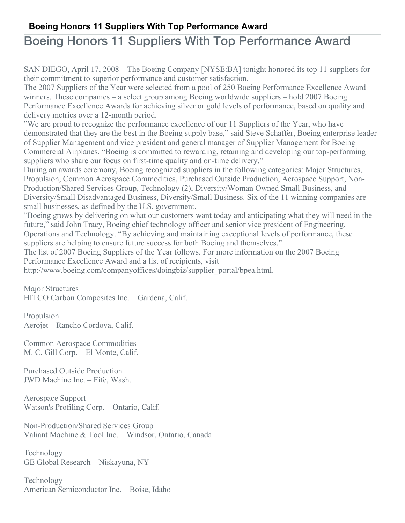## **Boeing Honors 11 Suppliers With Top Performance Award**

## Boeing Honors 11 Suppliers With Top Performance Award

SAN DIEGO, April 17, 2008 – The Boeing Company [NYSE:BA] tonight honored its top 11 suppliers for their commitment to superior performance and customer satisfaction.

The 2007 Suppliers of the Year were selected from a pool of 250 Boeing Performance Excellence Award winners. These companies – a select group among Boeing worldwide suppliers – hold 2007 Boeing Performance Excellence Awards for achieving silver or gold levels of performance, based on quality and delivery metrics over a 12-month period.

"We are proud to recognize the performance excellence of our 11 Suppliers of the Year, who have demonstrated that they are the best in the Boeing supply base," said Steve Schaffer, Boeing enterprise leader of Supplier Management and vice president and general manager of Supplier Management for Boeing Commercial Airplanes. "Boeing is committed to rewarding, retaining and developing our top-performing suppliers who share our focus on first-time quality and on-time delivery."

During an awards ceremony, Boeing recognized suppliers in the following categories: Major Structures, Propulsion, Common Aerospace Commodities, Purchased Outside Production, Aerospace Support, Non-Production/Shared Services Group, Technology (2), Diversity/Woman Owned Small Business, and Diversity/Small Disadvantaged Business, Diversity/Small Business. Six of the 11 winning companies are small businesses, as defined by the U.S. government.

"Boeing grows by delivering on what our customers want today and anticipating what they will need in the future," said John Tracy, Boeing chief technology officer and senior vice president of Engineering, Operations and Technology. "By achieving and maintaining exceptional levels of performance, these suppliers are helping to ensure future success for both Boeing and themselves."

The list of 2007 Boeing Suppliers of the Year follows. For more information on the 2007 Boeing Performance Excellence Award and a list of recipients, visit

http://www.boeing.com/companyoffices/doingbiz/supplier\_portal/bpea.html.

Major Structures HITCO Carbon Composites Inc. – Gardena, Calif.

Propulsion Aerojet – Rancho Cordova, Calif.

Common Aerospace Commodities M. C. Gill Corp. – El Monte, Calif.

Purchased Outside Production JWD Machine Inc. – Fife, Wash.

Aerospace Support Watson's Profiling Corp. – Ontario, Calif.

Non-Production/Shared Services Group Valiant Machine & Tool Inc. – Windsor, Ontario, Canada

Technology GE Global Research – Niskayuna, NY

Technology American Semiconductor Inc. – Boise, Idaho